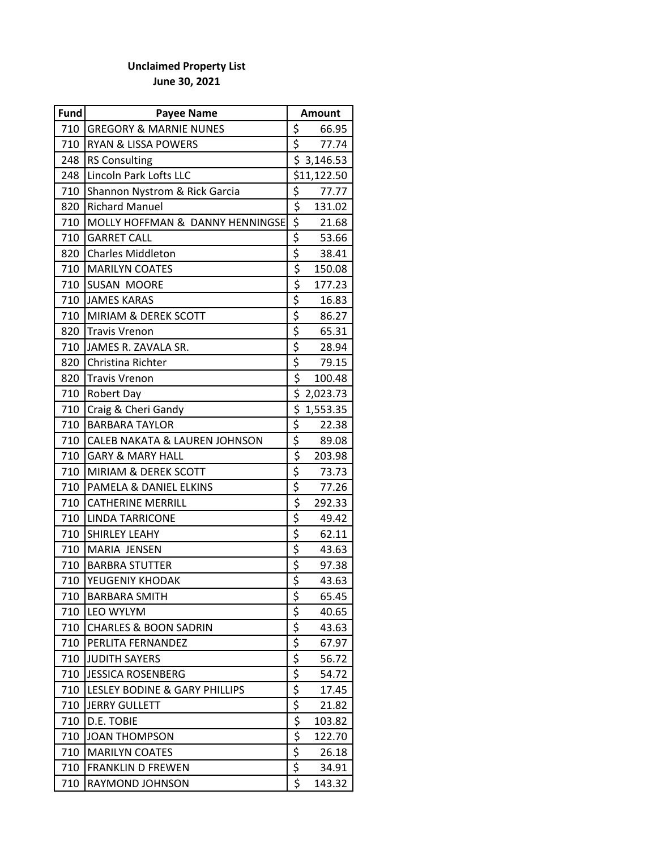## **Unclaimed Property List June 30, 2021**

| Fund | <b>Payee Name</b>                        | <b>Amount</b>                                   |             |
|------|------------------------------------------|-------------------------------------------------|-------------|
| 710  | <b>GREGORY &amp; MARNIE NUNES</b>        | \$                                              | 66.95       |
| 710  | <b>RYAN &amp; LISSA POWERS</b>           | \$                                              | 77.74       |
| 248  | <b>RS Consulting</b>                     |                                                 | \$3,146.53  |
| 248  | Lincoln Park Lofts LLC                   |                                                 | \$11,122.50 |
| 710  | Shannon Nystrom & Rick Garcia            | \$                                              | 77.77       |
| 820  | <b>Richard Manuel</b>                    | \$                                              | 131.02      |
| 710  | MOLLY HOFFMAN & DANNY HENNINGSE          | \$                                              | 21.68       |
| 710  | <b>GARRET CALL</b>                       | $\frac{1}{5}$                                   | 53.66       |
| 820  | <b>Charles Middleton</b>                 | \$                                              | 38.41       |
| 710  | <b>MARILYN COATES</b>                    | \$                                              | 150.08      |
| 710  | <b>SUSAN MOORE</b>                       | \$                                              | 177.23      |
| 710  | <b>JAMES KARAS</b>                       | $\overline{\xi}$                                | 16.83       |
| 710  | MIRIAM & DEREK SCOTT                     | $rac{5}{5}$                                     | 86.27       |
| 820  | <b>Travis Vrenon</b>                     |                                                 | 65.31       |
| 710  | JAMES R. ZAVALA SR.                      | \$                                              | 28.94       |
| 820  | Christina Richter                        | \$                                              | 79.15       |
| 820  | <b>Travis Vrenon</b>                     | \$                                              | 100.48      |
| 710  | Robert Day                               | \$                                              | 2,023.73    |
| 710  | Craig & Cheri Gandy                      | \$                                              | 1,553.35    |
| 710  | <b>BARBARA TAYLOR</b>                    | $\frac{5}{5}$                                   | 22.38       |
| 710  | <b>CALEB NAKATA &amp; LAUREN JOHNSON</b> |                                                 | 89.08       |
| 710  | <b>GARY &amp; MARY HALL</b>              | \$                                              | 203.98      |
| 710  | <b>MIRIAM &amp; DEREK SCOTT</b>          | \$                                              | 73.73       |
| 710  | PAMELA & DANIEL ELKINS                   | $\overline{\xi}$                                | 77.26       |
| 710  | <b>CATHERINE MERRILL</b>                 | $\frac{1}{5}$<br>$\frac{1}{5}$<br>$\frac{1}{5}$ | 292.33      |
| 710  | <b>LINDA TARRICONE</b>                   |                                                 | 49.42       |
| 710  | SHIRLEY LEAHY                            |                                                 | 62.11       |
| 710  | MARIA JENSEN                             |                                                 | 43.63       |
| 710  | <b>BARBRA STUTTER</b>                    | $rac{1}{5}$                                     | 97.38       |
| 710  | YEUGENIY KHODAK                          |                                                 | 43.63       |
| 710  | <b>BARBARA SMITH</b>                     | \$                                              | 65.45       |
| 710  | LEO WYLYM                                | $rac{5}{5}$                                     | 40.65       |
| 710  | <b>CHARLES &amp; BOON SADRIN</b>         |                                                 | 43.63       |
| 710  | PERLITA FERNANDEZ                        | \$                                              | 67.97       |
| 710  | <b>JUDITH SAYERS</b>                     | \$                                              | 56.72       |
| 710  | <b>JESSICA ROSENBERG</b>                 | \$                                              | 54.72       |
| 710  | LESLEY BODINE & GARY PHILLIPS            | $\overline{\xi}$                                | 17.45       |
| 710  | <b>JERRY GULLETT</b>                     | \$                                              | 21.82       |
| 710  | D.E. TOBIE                               | $\overline{\xi}$                                | 103.82      |
| 710  | <b>JOAN THOMPSON</b>                     | $\overline{\xi}$                                | 122.70      |
| 710  | <b>MARILYN COATES</b>                    | \$                                              | 26.18       |
| 710  | <b>FRANKLIN D FREWEN</b>                 | $\overline{\boldsymbol{\zeta}}$                 | 34.91       |
| 710  | RAYMOND JOHNSON                          | \$                                              | 143.32      |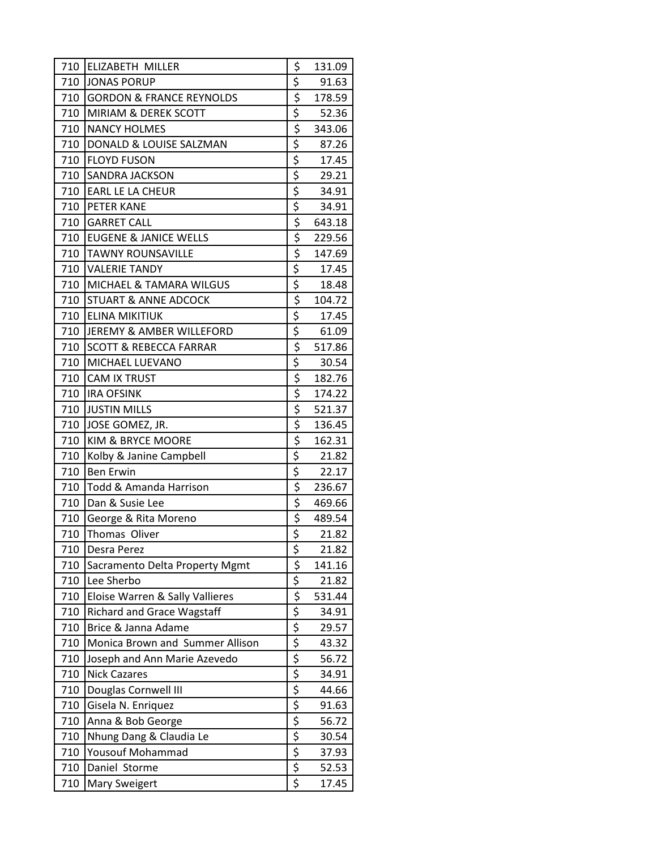| 710 | <b>ELIZABETH MILLER</b>             | \$                                                      | 131.09 |
|-----|-------------------------------------|---------------------------------------------------------|--------|
| 710 | <b>JONAS PORUP</b>                  | \$                                                      | 91.63  |
| 710 | <b>GORDON &amp; FRANCE REYNOLDS</b> | \$                                                      | 178.59 |
| 710 | <b>MIRIAM &amp; DEREK SCOTT</b>     | $rac{5}{5}$                                             | 52.36  |
| 710 | <b>NANCY HOLMES</b>                 |                                                         | 343.06 |
| 710 | DONALD & LOUISE SALZMAN             | \$                                                      | 87.26  |
| 710 | <b>FLOYD FUSON</b>                  | \$                                                      | 17.45  |
| 710 | <b>SANDRA JACKSON</b>               | $\frac{1}{5}$ $\frac{1}{5}$ $\frac{1}{5}$ $\frac{1}{5}$ | 29.21  |
| 710 | <b>EARL LE LA CHEUR</b>             |                                                         | 34.91  |
| 710 | <b>PETER KANE</b>                   |                                                         | 34.91  |
| 710 | <b>GARRET CALL</b>                  |                                                         | 643.18 |
|     | 710 EUGENE & JANICE WELLS           | \$                                                      | 229.56 |
| 710 | <b>TAWNY ROUNSAVILLE</b>            | $rac{5}{5}$                                             | 147.69 |
| 710 | <b>VALERIE TANDY</b>                |                                                         | 17.45  |
| 710 | <b>MICHAEL &amp; TAMARA WILGUS</b>  | $\overline{\xi}$                                        | 18.48  |
| 710 | <b>STUART &amp; ANNE ADCOCK</b>     | \$                                                      | 104.72 |
| 710 | <b>ELINA MIKITIUK</b>               |                                                         | 17.45  |
| 710 | <b>JEREMY &amp; AMBER WILLEFORD</b> | $rac{5}{5}$<br>$rac{5}{5}$                              | 61.09  |
| 710 | <b>SCOTT &amp; REBECCA FARRAR</b>   |                                                         | 517.86 |
| 710 | MICHAEL LUEVANO                     | \$                                                      | 30.54  |
| 710 | <b>CAM IX TRUST</b>                 | \$                                                      | 182.76 |
| 710 | <b>IRA OFSINK</b>                   | $rac{5}{5}$                                             | 174.22 |
| 710 | <b>JUSTIN MILLS</b>                 |                                                         | 521.37 |
| 710 | JOSE GOMEZ, JR.                     |                                                         | 136.45 |
| 710 | KIM & BRYCE MOORE                   | \$                                                      | 162.31 |
| 710 | Kolby & Janine Campbell             | \$                                                      | 21.82  |
| 710 | <b>Ben Erwin</b>                    | $\overline{\xi}$                                        | 22.17  |
| 710 | Todd & Amanda Harrison              | $rac{5}{5}$                                             | 236.67 |
| 710 | Dan & Susie Lee                     |                                                         | 469.66 |
| 710 | George & Rita Moreno                |                                                         | 489.54 |
| 710 | Thomas Oliver                       | \$                                                      | 21.82  |
| 710 | Desra Perez                         | \$                                                      | 21.82  |
| 710 | Sacramento Delta Property Mgmt      | \$                                                      | 141.16 |
| 710 | Lee Sherbo                          |                                                         | 21.82  |
| 710 | Eloise Warren & Sally Vallieres     |                                                         | 531.44 |
| 710 | <b>Richard and Grace Wagstaff</b>   |                                                         | 34.91  |
| 710 | Brice & Janna Adame                 |                                                         | 29.57  |
| 710 | Monica Brown and Summer Allison     |                                                         | 43.32  |
| 710 | Joseph and Ann Marie Azevedo        |                                                         | 56.72  |
| 710 | <b>Nick Cazares</b>                 |                                                         | 34.91  |
| 710 | Douglas Cornwell III                |                                                         | 44.66  |
| 710 | Gisela N. Enriquez                  |                                                         | 91.63  |
| 710 | Anna & Bob George                   |                                                         | 56.72  |
| 710 | Nhung Dang & Claudia Le             |                                                         | 30.54  |
| 710 | Yousouf Mohammad                    |                                                         | 37.93  |
| 710 | Daniel Storme                       |                                                         | 52.53  |
| 710 | Mary Sweigert                       |                                                         | 17.45  |